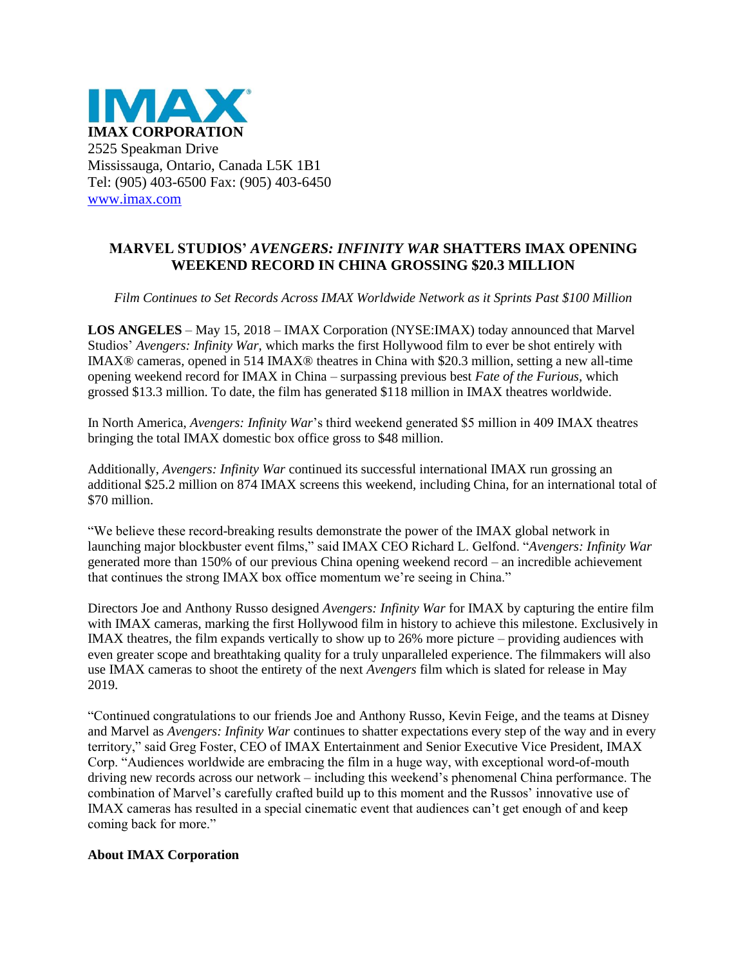

## **MARVEL STUDIOS'** *AVENGERS: INFINITY WAR* **SHATTERS IMAX OPENING WEEKEND RECORD IN CHINA GROSSING \$20.3 MILLION**

## *Film Continues to Set Records Across IMAX Worldwide Network as it Sprints Past \$100 Million*

**LOS ANGELES** – May 15, 2018 – IMAX Corporation (NYSE:IMAX) today announced that Marvel Studios' *Avengers: Infinity War,* which marks the first Hollywood film to ever be shot entirely with IMAX® cameras*,* opened in 514 IMAX® theatres in China with \$20.3 million, setting a new all-time opening weekend record for IMAX in China – surpassing previous best *Fate of the Furious,* which grossed \$13.3 million. To date, the film has generated \$118 million in IMAX theatres worldwide.

In North America, *Avengers: Infinity War*'s third weekend generated \$5 million in 409 IMAX theatres bringing the total IMAX domestic box office gross to \$48 million.

Additionally, *Avengers: Infinity War* continued its successful international IMAX run grossing an additional \$25.2 million on 874 IMAX screens this weekend, including China, for an international total of \$70 million.

"We believe these record-breaking results demonstrate the power of the IMAX global network in launching major blockbuster event films," said IMAX CEO Richard L. Gelfond. "*Avengers: Infinity War* generated more than 150% of our previous China opening weekend record – an incredible achievement that continues the strong IMAX box office momentum we're seeing in China."

Directors Joe and Anthony Russo designed *Avengers: Infinity War* for IMAX by capturing the entire film with IMAX cameras, marking the first Hollywood film in history to achieve this milestone. Exclusively in IMAX theatres, the film expands vertically to show up to 26% more picture – providing audiences with even greater scope and breathtaking quality for a truly unparalleled experience. The filmmakers will also use IMAX cameras to shoot the entirety of the next *Avengers* film which is slated for release in May 2019.

"Continued congratulations to our friends Joe and Anthony Russo, Kevin Feige, and the teams at Disney and Marvel as *Avengers: Infinity War* continues to shatter expectations every step of the way and in every territory," said Greg Foster, CEO of IMAX Entertainment and Senior Executive Vice President, IMAX Corp. "Audiences worldwide are embracing the film in a huge way, with exceptional word-of-mouth driving new records across our network – including this weekend's phenomenal China performance. The combination of Marvel's carefully crafted build up to this moment and the Russos' innovative use of IMAX cameras has resulted in a special cinematic event that audiences can't get enough of and keep coming back for more."

## **About IMAX Corporation**